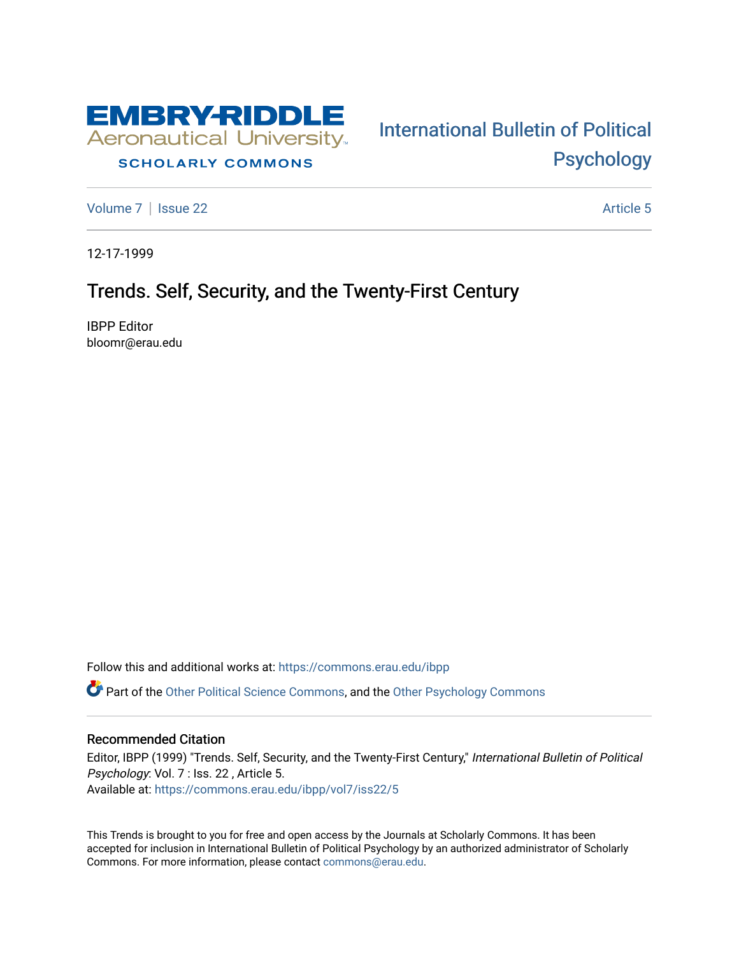

## **SCHOLARLY COMMONS**

[Volume 7](https://commons.erau.edu/ibpp/vol7) | [Issue 22](https://commons.erau.edu/ibpp/vol7/iss22) Article 5

[International Bulletin of Political](https://commons.erau.edu/ibpp)  [Psychology](https://commons.erau.edu/ibpp) 

12-17-1999

## Trends. Self, Security, and the Twenty-First Century

IBPP Editor bloomr@erau.edu

Follow this and additional works at: [https://commons.erau.edu/ibpp](https://commons.erau.edu/ibpp?utm_source=commons.erau.edu%2Fibpp%2Fvol7%2Fiss22%2F5&utm_medium=PDF&utm_campaign=PDFCoverPages) 

Part of the [Other Political Science Commons,](http://network.bepress.com/hgg/discipline/392?utm_source=commons.erau.edu%2Fibpp%2Fvol7%2Fiss22%2F5&utm_medium=PDF&utm_campaign=PDFCoverPages) and the [Other Psychology Commons](http://network.bepress.com/hgg/discipline/415?utm_source=commons.erau.edu%2Fibpp%2Fvol7%2Fiss22%2F5&utm_medium=PDF&utm_campaign=PDFCoverPages)

## Recommended Citation

Editor, IBPP (1999) "Trends. Self, Security, and the Twenty-First Century," International Bulletin of Political Psychology: Vol. 7 : Iss. 22 , Article 5. Available at: [https://commons.erau.edu/ibpp/vol7/iss22/5](https://commons.erau.edu/ibpp/vol7/iss22/5?utm_source=commons.erau.edu%2Fibpp%2Fvol7%2Fiss22%2F5&utm_medium=PDF&utm_campaign=PDFCoverPages)

This Trends is brought to you for free and open access by the Journals at Scholarly Commons. It has been accepted for inclusion in International Bulletin of Political Psychology by an authorized administrator of Scholarly Commons. For more information, please contact [commons@erau.edu.](mailto:commons@erau.edu)